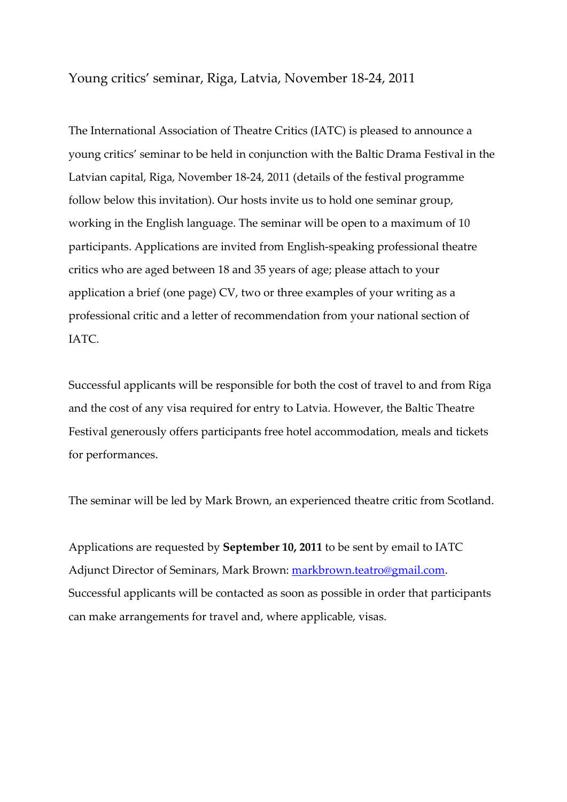Young critics' seminar, Riga, Latvia, November 18‐24, 2011

The International Association of Theatre Critics (IATC) is pleased to announce a young critics' seminar to be held in conjunction with the Baltic Drama Festival in the Latvian capital, Riga, November 18‐24, 2011 (details of the festival programme follow below this invitation). Our hosts invite us to hold one seminar group, working in the English language. The seminar will be open to a maximum of 10 participants. Applications are invited from English‐speaking professional theatre critics who are aged between 18 and 35 years of age; please attach to your application a brief (one page) CV, two or three examples of your writing as a professional critic and a letter of recommendation from your national section of IATC.

Successful applicants will be responsible for both the cost of travel to and from Riga and the cost of any visa required for entry to Latvia. However, the Baltic Theatre Festival generously offers participants free hotel accommodation, meals and tickets for performances.

The seminar will be led by Mark Brown, an experienced theatre critic from Scotland.

Applications are requested by **September 10, 2011** to be sent by email to IATC Adjunct Director of Seminars, Mark Brown: [markbrown.teatro@gmail.com](mailto:markbrown.teatro@gmail.com). Successful applicants will be contacted as soon as possible in order that participants can make arrangements for travel and, where applicable, visas.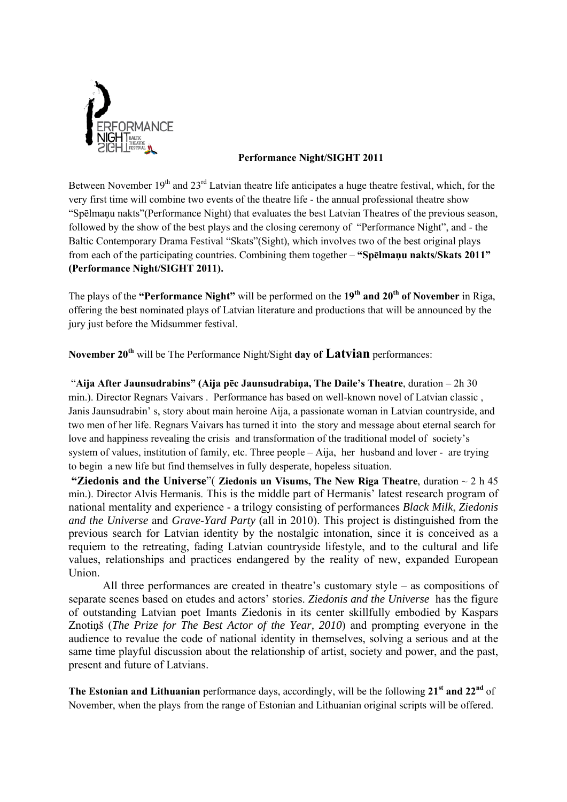

## **Performance Night/SIGHT 2011**

Between November 19<sup>th</sup> and 23<sup>rd</sup> Latvian theatre life anticipates a huge theatre festival, which, for the very first time will combine two events of the theatre life - the annual professional theatre show "Spēlmaņu nakts"(Performance Night) that evaluates the best Latvian Theatres of the previous season, followed by the show of the best plays and the closing ceremony of "Performance Night", and - the Baltic Contemporary Drama Festival "Skats"(Sight), which involves two of the best original plays from each of the participating countries. Combining them together – **"Spēlmaņu nakts/Skats 2011" (Performance Night/SIGHT 2011).** 

The plays of the **"Performance Night"** will be performed on the **19th and 20th of November** in Riga, offering the best nominated plays of Latvian literature and productions that will be announced by the jury just before the Midsummer festival.

**November 20th** will be The Performance Night/Sight **day of Latvian** performances:

 "**Aija After Jaunsudrabins" (Aija pēc Jaunsudrabiņa, The Daile's Theatre**, duration – 2h 30 min.). Director Regnars Vaivars . Performance has based on well-known novel of Latvian classic , Janis Jaunsudrabin' s, story about main heroine Aija, a passionate woman in Latvian countryside, and two men of her life. Regnars Vaivars has turned it into the story and message about eternal search for love and happiness revealing the crisis and transformation of the traditional model of society's system of values, institution of family, etc. Three people – Aija, her husband and lover - are trying to begin a new life but find themselves in fully desperate, hopeless situation.

 **"Ziedonis and the Universe**"( **Ziedonis un Visums, The New Riga Theatre**, duration ~ 2 h 45 min.). Director Alvis Hermanis. This is the middle part of Hermanis' latest research program of national mentality and experience - a trilogy consisting of performances *Black Milk*, *Ziedonis and the Universe* and *Grave-Yard Party* (all in 2010). This project is distinguished from the previous search for Latvian identity by the nostalgic intonation, since it is conceived as a requiem to the retreating, fading Latvian countryside lifestyle, and to the cultural and life values, relationships and practices endangered by the reality of new, expanded European Union.

All three performances are created in theatre's customary style – as compositions of separate scenes based on etudes and actors' stories. *Ziedonis and the Universe* has the figure of outstanding Latvian poet Imants Ziedonis in its center skillfully embodied by Kaspars Znotiņš (*The Prize for The Best Actor of the Year, 2010*) and prompting everyone in the audience to revalue the code of national identity in themselves, solving a serious and at the same time playful discussion about the relationship of artist, society and power, and the past, present and future of Latvians.

**The Estonian and Lithuanian** performance days, accordingly, will be the following **21st and 22nd** of November, when the plays from the range of Estonian and Lithuanian original scripts will be offered.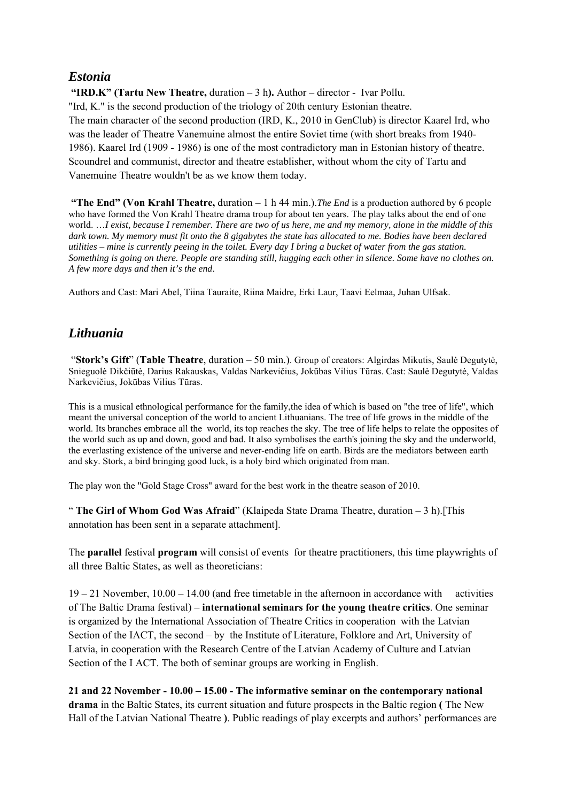## *Estonia*

**"IRD.K" (Tartu New Theatre,** duration – 3 h**).** Author – director - Ivar Pollu. "Ird, K." is the second production of the triology of 20th century Estonian theatre. The main character of the second production (IRD, K., 2010 in GenClub) is director Kaarel Ird, who was the leader of Theatre Vanemuine almost the entire Soviet time (with short breaks from 1940- 1986). Kaarel Ird (1909 - 1986) is one of the most contradictory man in Estonian history of theatre. Scoundrel and communist, director and theatre establisher, without whom the city of Tartu and Vanemuine Theatre wouldn't be as we know them today.

 **"The End" (Von Krahl Theatre,** duration – 1 h 44 min.).*The End* is a production authored by 6 people who have formed the Von Krahl Theatre drama troup for about ten years. The play talks about the end of one world. …*I exist, because I remember. There are two of us here, me and my memory, alone in the middle of this*  dark town. My memory must fit onto the 8 gigabytes the state has allocated to me. Bodies have been declared *utilities – mine is currently peeing in the toilet. Every day I bring a bucket of water from the gas station. Something is going on there. People are standing still, hugging each other in silence. Some have no clothes on. A few more days and then it's the end*.

Authors and Cast: Mari Abel, Tiina Tauraite, Riina Maidre, Erki Laur, Taavi Eelmaa, Juhan Ulfsak.

## *Lithuania*

 "**Stork's Gift**" (**Table Theatre**, duration – 50 min.). Group of creators: Algirdas Mikutis, Saulė Degutytė, Snieguolė Dikčiūtė, Darius Rakauskas, Valdas Narkevičius, Jokūbas Vilius Tūras. Cast: Saulė Degutytė, Valdas Narkevičius, Jokūbas Vilius Tūras.

This is a musical ethnological performance for the family,the idea of which is based on "the tree of life", which meant the universal conception of the world to ancient Lithuanians. The tree of life grows in the middle of the world. Its branches embrace all the world, its top reaches the sky. The tree of life helps to relate the opposites of the world such as up and down, good and bad. It also symbolises the earth's joining the sky and the underworld, the everlasting existence of the universe and never-ending life on earth. Birds are the mediators between earth and sky. Stork, a bird bringing good luck, is a holy bird which originated from man.

The play won the "Gold Stage Cross" award for the best work in the theatre season of 2010.

" **The Girl of Whom God Was Afraid**" (Klaipeda State Drama Theatre, duration – 3 h).[This annotation has been sent in a separate attachment].

The **parallel** festival **program** will consist of events for theatre practitioners, this time playwrights of all three Baltic States, as well as theoreticians:

19 – 21 November, 10.00 – 14.00 (and free timetable in the afternoon in accordance with activities of The Baltic Drama festival) – **international seminars for the young theatre critics**. One seminar is organized by the International Association of Theatre Critics in cooperation with the Latvian Section of the IACT, the second – by the Institute of Literature, Folklore and Art, University of Latvia, in cooperation with the Research Centre of the Latvian Academy of Culture and Latvian Section of the I ACT. The both of seminar groups are working in English.

**21 and 22 November - 10.00 – 15.00 - The informative seminar on the contemporary national drama** in the Baltic States, its current situation and future prospects in the Baltic region **(** The New Hall of the Latvian National Theatre **)**. Public readings of play excerpts and authors' performances are